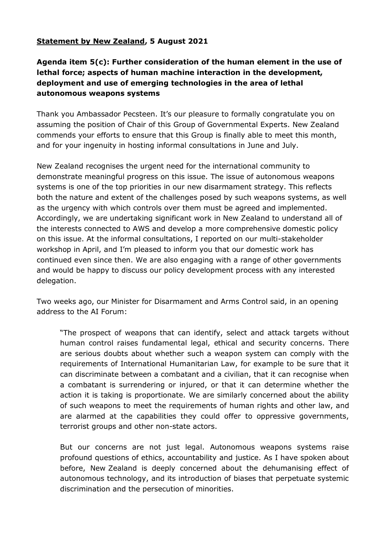## **Statement by New Zealand, 5 August 2021**

## **Agenda item 5(c): Further consideration of the human element in the use of lethal force; aspects of human machine interaction in the development, deployment and use of emerging technologies in the area of lethal autonomous weapons systems**

Thank you Ambassador Pecsteen. It's our pleasure to formally congratulate you on assuming the position of Chair of this Group of Governmental Experts. New Zealand commends your efforts to ensure that this Group is finally able to meet this month, and for your ingenuity in hosting informal consultations in June and July.

New Zealand recognises the urgent need for the international community to demonstrate meaningful progress on this issue. The issue of autonomous weapons systems is one of the top priorities in our new disarmament strategy. This reflects both the nature and extent of the challenges posed by such weapons systems, as well as the urgency with which controls over them must be agreed and implemented. Accordingly, we are undertaking significant work in New Zealand to understand all of the interests connected to AWS and develop a more comprehensive domestic policy on this issue. At the informal consultations, I reported on our multi-stakeholder workshop in April, and I'm pleased to inform you that our domestic work has continued even since then. We are also engaging with a range of other governments and would be happy to discuss our policy development process with any interested delegation.

Two weeks ago, our Minister for Disarmament and Arms Control said, in an opening address to the AI Forum:

"The prospect of weapons that can identify, select and attack targets without human control raises fundamental legal, ethical and security concerns. There are serious doubts about whether such a weapon system can comply with the requirements of International Humanitarian Law, for example to be sure that it can discriminate between a combatant and a civilian, that it can recognise when a combatant is surrendering or injured, or that it can determine whether the action it is taking is proportionate. We are similarly concerned about the ability of such weapons to meet the requirements of human rights and other law, and are alarmed at the capabilities they could offer to oppressive governments, terrorist groups and other non-state actors.

But our concerns are not just legal. Autonomous weapons systems raise profound questions of ethics, accountability and justice. As I have spoken about before, New Zealand is deeply concerned about the dehumanising effect of autonomous technology, and its introduction of biases that perpetuate systemic discrimination and the persecution of minorities.